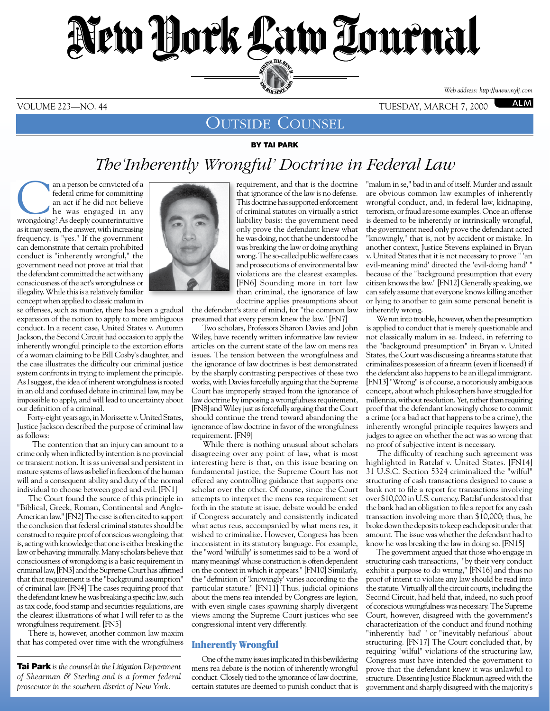# New York Law Tournal SERVING THE BET **ED BAR SINCE 1888** *Web address: http://www.nylj.com*

VOLUME 223—NO. 44 tuesday, march 7, 2000

**ALM** 

## OUTSIDE COUNSEL

By Tai Park

# *The'Inherently Wrongful' Doctrine in Federal Law*

an a person be convicted of a<br>federal crime for committing<br>an act if he did not believe<br>the was engaged in any<br>wrongdoing? As deenly counterintuitive federal crime for committing an act if he did not believe wrongdoing? As deeply counterintuitive as it may seem, the answer, with increasing frequency, is "yes." If the government can demonstrate that certain prohibited conduct is "inherently wrongful," the government need not prove at trial that the defendant committed the act with any consciousness of the act's wrongfulness or illegality. While this is a relatively familiar concept when applied to classic malum in

se offenses, such as murder, there has been a gradual expansion of the notion to apply to more ambiguous conduct. In a recent case, United States v. Autumn Jackson, the Second Circuit had occasion to apply the inherently wrongful principle to the extortion efforts of a woman claiming to be Bill Cosby's daughter, and the case illustrates the difficulty our criminal justice system confronts in trying to implement the principle. As I suggest, the idea of inherent wrongfulness is rooted in an old and confused debate in criminal law, may be impossible to apply, and will lead to uncertainty about our definition of a criminal.

 Forty-eight years ago, in Morissette v. United States, Justice Jackson described the purpose of criminal law as follows:

 The contention that an injury can amount to a crime only when inflicted by intention is no provincial or transient notion. It is as universal and persistent in mature systems of laws as belief in freedom of the human will and a consequent ability and duty of the normal individual to choose between good and evil. [FN1]

 The Court found the source of this principle in "Biblical, Greek, Roman, Continental and Anglo-American law." [FN2] The case is often cited to support the conclusion that federal criminal statutes should be construed to require proof of conscious wrongdoing, that is, acting with knowledge that one is either breaking the law or behaving immorally. Many scholars believe that consciousness of wrongdoing is a basic requirement in criminal law, [FN3] and the Supreme Court has affirmed that that requirement is the "background assumption" of criminal law. [FN4] The cases requiring proof that the defendant knew he was breaking a specific law, such as tax code, food stamp and securities regulations, are the clearest illustrations of what I will refer to as the wrongfulness requirement. [FN5]

 There is, however, another common law maxim that has competed over time with the wrongfulness

Tai Park *is the counsel in the Litigation Department of Shearman & Sterling and is a former federal prosecutor in the southern district of New York.*



requirement, and that is the doctrine that ignorance of the law is no defense. This doctrine has supported enforcement of criminal statutes on virtually a strict liability basis: the government need only prove the defendant knew what he was doing, not that he understood he was breaking the law or doing anything wrong. The so-called public welfare cases and prosecutions of environmental law violations are the clearest examples. [FN6] Sounding more in tort law than criminal, the ignorance of law doctrine applies presumptions about

the defendant's state of mind, for "the common law presumed that every person knew the law." [FN7]

 Two scholars, Professors Sharon Davies and John Wiley, have recently written informative law review articles on the current state of the law on mens rea issues. The tension between the wrongfulness and the ignorance of law doctrines is best demonstrated by the sharply contrasting perspectives of these two works, with Davies forcefully arguing that the Supreme Court has improperly strayed from the ignorance of law doctrine by imposing a wrongfulness requirement, [FN8] and Wiley just as forcefully arguing that the Court should continue the trend toward abandoning the ignorance of law doctrine in favor of the wrongfulness requirement. [FN9]

 While there is nothing unusual about scholars disagreeing over any point of law, what is most interesting here is that, on this issue bearing on fundamental justice, the Supreme Court has not offered any controlling guidance that supports one scholar over the other. Of course, since the Court attempts to interpret the mens rea requirement set forth in the statute at issue, debate would be ended if Congress accurately and consistently indicated what actus reus, accompanied by what mens rea, it wished to criminalize. However, Congress has been inconsistent in its statutory language. For example, the "word 'wilfully' is sometimes said to be a 'word of many meanings' whose construction is often dependent on the context in which it appears." [FN10] Similarly, the "definition of 'knowingly' varies according to the particular statute." [FN11] Thus, judicial opinions about the mens rea intended by Congress are legion, with even single cases spawning sharply divergent views among the Supreme Court justices who see congressional intent very differently.

### Inherently Wrongful

 One of the many issues implicated in this bewildering mens rea debate is the notion of inherently wrongful conduct. Closely tied to the ignorance of law doctrine, certain statutes are deemed to punish conduct that is

"malum in se," bad in and of itself. Murder and assault are obvious common law examples of inherently wrongful conduct, and, in federal law, kidnaping, terrorism, or fraud are some examples. Once an offense is deemed to be inherently or intrinsically wrongful, the government need only prove the defendant acted "knowingly," that is, not by accident or mistake. In another context, Justice Stevens explained in Bryan v. United States that it is not necessary to prove " 'an evil-meaning mind' directed the 'evil-doing hand' " because of the "background presumption that every citizen knows the law." [FN12] Generally speaking, we can safely assume that everyone knows killing another or lying to another to gain some personal benefit is inherently wrong.

 We run into trouble, however, when the presumption is applied to conduct that is merely questionable and not classically malum in se. Indeed, in referring to the "background presumption" in Bryan v. United States, the Court was discussing a firearms statute that criminalizes possession of a firearm (even if licensed) if the defendant also happens to be an illegal immigrant. [FN13] "Wrong" is of course, a notoriously ambiguous concept, about which philosophers have struggled for millennia, without resolution. Yet, rather than requiring proof that the defendant knowingly chose to commit a crime (or a bad act that happens to be a crime), the inherently wrongful principle requires lawyers and judges to agree on whether the act was so wrong that no proof of subjective intent is necessary.

 The difficulty of reaching such agreement was highlighted in Ratzlaf v. United States. [FN14] 31 U.S.C. Section 5324 criminalized the "wilful" structuring of cash transactions designed to cause a bank not to file a report for transactions involving over \$10,000 in U.S. currency. Ratzlaf understood that the bank had an obligation to file a report for any cash transaction involving more than \$10,000; thus, he broke down the deposits to keep each deposit under that amount. The issue was whether the defendant had to know he was breaking the law in doing so. [FN15]

 The government argued that those who engage in structuring cash transactions, "by their very conduct exhibit a purpose to do wrong," [FN16] and thus no proof of intent to violate any law should be read into the statute. Virtually all the circuit courts, including the Second Circuit, had held that, indeed, no such proof of conscious wrongfulness was necessary. The Supreme Court, however, disagreed with the government's characterization of the conduct and found nothing "inherently 'bad' " or "inevitably nefarious" about structuring. [FN17] The Court concluded that, by requiring "wilful" violations of the structuring law, Congress must have intended the government to prove that the defendant knew it was unlawful to structure. Dissenting Justice Blackmun agreed with the government and sharply disagreed with the majority's